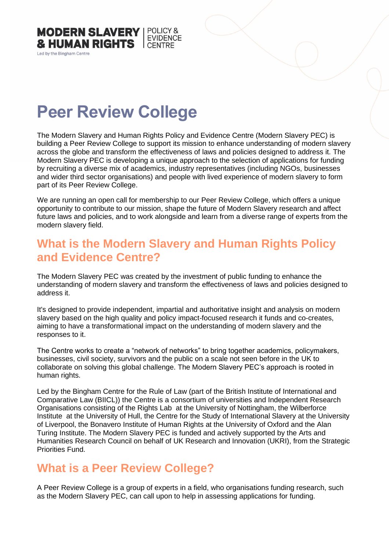

Led by the Bingham Centre

# **Peer Review College**

The Modern Slavery and Human Rights Policy and Evidence Centre (Modern Slavery PEC) is building a Peer Review College to support its mission to enhance understanding of modern slavery across the globe and transform the effectiveness of laws and policies designed to address it. The Modern Slavery PEC is developing a unique approach to the selection of applications for funding by recruiting a diverse mix of academics, industry representatives (including NGOs, businesses and wider third sector organisations) and people with lived experience of modern slavery to form part of its Peer Review College.

We are running an open call for membership to our Peer Review College, which offers a unique opportunity to contribute to our mission, shape the future of Modern Slavery research and affect future laws and policies, and to work alongside and learn from a diverse range of experts from the modern slavery field.

### **What is the Modern Slavery and Human Rights Policy and Evidence Centre?**

The Modern Slavery PEC was created by the investment of public funding to enhance the understanding of modern slavery and transform the effectiveness of laws and policies designed to address it.

It's designed to provide independent, impartial and authoritative insight and analysis on modern slavery based on the high quality and policy impact-focused research it funds and co-creates, aiming to have a transformational impact on the understanding of modern slavery and the responses to it.

The Centre works to create a "network of networks" to bring together academics, policymakers, businesses, civil society, survivors and the public on a scale not seen before in the UK to collaborate on solving this global challenge. The Modern Slavery PEC's approach is rooted in human rights.

Led by the Bingham Centre for the Rule of Law (part of the British Institute of International and Comparative Law (BIICL)) the Centre is a consortium of universities and Independent Research Organisations consisting of the Rights Lab at the University of Nottingham, the Wilberforce Institute at the University of Hull, the Centre for the Study of International Slavery at the University of Liverpool, the Bonavero Institute of Human Rights at the University of Oxford and the Alan Turing Institute. The Modern Slavery PEC is funded and actively supported by the Arts and Humanities Research Council on behalf of UK Research and Innovation (UKRI), from the Strategic Priorities Fund.

#### **What is a Peer Review College?**

A Peer Review College is a group of experts in a field, who organisations funding research, such as the Modern Slavery PEC, can call upon to help in assessing applications for funding.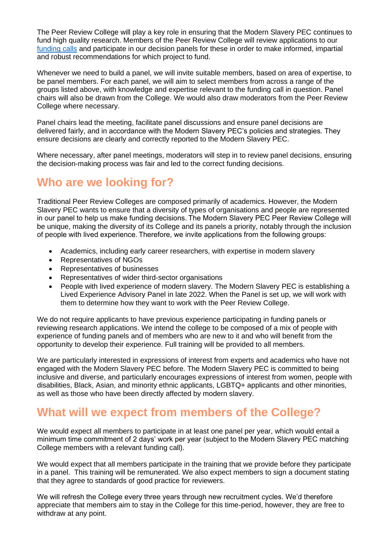The Peer Review College will play a key role in ensuring that the Modern Slavery PEC continues to fund high quality research. Members of the Peer Review College will review applications to our [funding calls](https://modernslaverypec.org/latest?type=proposal) and participate in our decision panels for these in order to make informed, impartial and robust recommendations for which project to fund.

Whenever we need to build a panel, we will invite suitable members, based on area of expertise, to be panel members. For each panel, we will aim to select members from across a range of the groups listed above, with knowledge and expertise relevant to the funding call in question. Panel chairs will also be drawn from the College. We would also draw moderators from the Peer Review College where necessary.

Panel chairs lead the meeting, facilitate panel discussions and ensure panel decisions are delivered fairly, and in accordance with the Modern Slavery PEC's policies and strategies. They ensure decisions are clearly and correctly reported to the Modern Slavery PEC.

Where necessary, after panel meetings, moderators will step in to review panel decisions, ensuring the decision-making process was fair and led to the correct funding decisions.

## **Who are we looking for?**

Traditional Peer Review Colleges are composed primarily of academics. However, the Modern Slavery PEC wants to ensure that a diversity of types of organisations and people are represented in our panel to help us make funding decisions. The Modern Slavery PEC Peer Review College will be unique, making the diversity of its College and its panels a priority, notably through the inclusion of people with lived experience. Therefore, we invite applications from the following groups:

- Academics, including early career researchers, with expertise in modern slavery
- Representatives of NGOs
- Representatives of businesses
- Representatives of wider third-sector organisations
- People with lived experience of modern slavery. The Modern Slavery PEC is establishing a Lived Experience Advisory Panel in late 2022. When the Panel is set up, we will work with them to determine how they want to work with the Peer Review College.

We do not require applicants to have previous experience participating in funding panels or reviewing research applications. We intend the college to be composed of a mix of people with experience of funding panels and of members who are new to it and who will benefit from the opportunity to develop their experience. Full training will be provided to all members.

We are particularly interested in expressions of interest from experts and academics who have not engaged with the Modern Slavery PEC before. The Modern Slavery PEC is committed to being inclusive and diverse, and particularly encourages expressions of interest from women, people with disabilities, Black, Asian, and minority ethnic applicants, LGBTQ+ applicants and other minorities, as well as those who have been directly affected by modern slavery.

#### **What will we expect from members of the College?**

We would expect all members to participate in at least one panel per year, which would entail a minimum time commitment of 2 days' work per year (subject to the Modern Slavery PEC matching College members with a relevant funding call).

We would expect that all members participate in the training that we provide before they participate in a panel. This training will be remunerated. We also expect members to sign a document stating that they agree to standards of good practice for reviewers.

We will refresh the College every three years through new recruitment cycles. We'd therefore appreciate that members aim to stay in the College for this time-period, however, they are free to withdraw at any point.